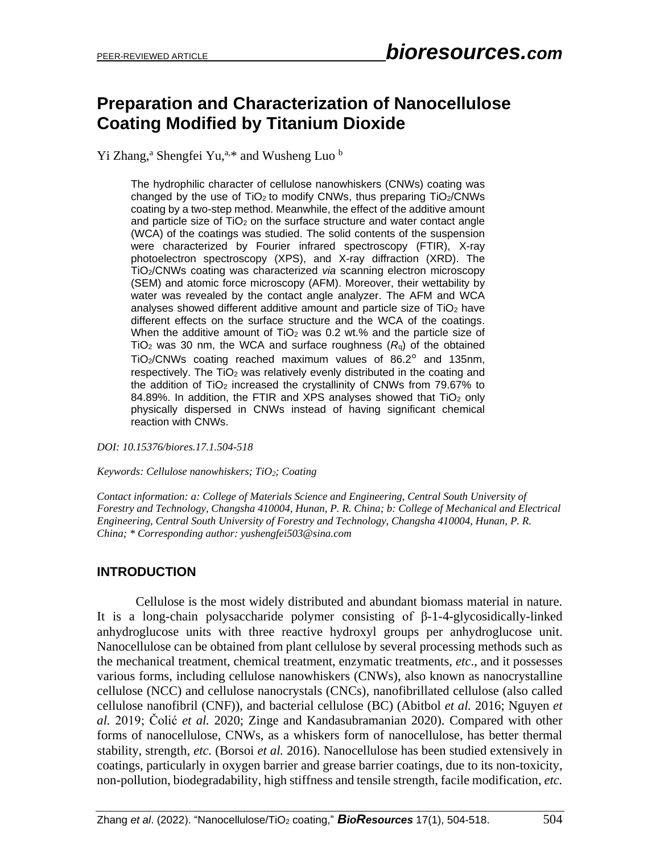# **Preparation and Characterization of Nanocellulose Coating Modified by Titanium Dioxide**

Yi Zhang,<sup>a</sup> Shengfei Yu,<sup>a,\*</sup> and Wusheng Luo  $<sup>b</sup>$ </sup>

The hydrophilic character of cellulose nanowhiskers (CNWs) coating was changed by the use of  $TiO<sub>2</sub>$  to modify CNWs, thus preparing  $TiO<sub>2</sub>/CNWs$ coating by a two-step method. Meanwhile, the effect of the additive amount and particle size of  $TiO<sub>2</sub>$  on the surface structure and water contact angle (WCA) of the coatings was studied. The solid contents of the suspension were characterized by Fourier infrared spectroscopy (FTIR), X-ray photoelectron spectroscopy (XPS), and X-ray diffraction (XRD). The TiO2/CNWs coating was characterized *via* scanning electron microscopy (SEM) and atomic force microscopy (AFM). Moreover, their wettability by water was revealed by the contact angle analyzer. The AFM and WCA analyses showed different additive amount and particle size of TiO<sub>2</sub> have different effects on the surface structure and the WCA of the coatings. When the additive amount of  $TiO<sub>2</sub>$  was 0.2 wt.% and the particle size of TiO<sup>2</sup> was 30 nm, the WCA and surface roughness (*R*q) of the obtained TiO2/CNWs coating reached maximum values of 86.2° and 135nm, respectively. The TiO<sub>2</sub> was relatively evenly distributed in the coating and the addition of TiO<sub>2</sub> increased the crystallinity of CNWs from 79.67% to 84.89%. In addition, the FTIR and XPS analyses showed that  $TiO<sub>2</sub>$  only physically dispersed in CNWs instead of having significant chemical reaction with CNWs.

*DOI: 10.15376/biores.17.1.504-518*

*Keywords: Cellulose nanowhiskers; TiO2; Coating*

*Contact information: a: College of Materials Science and Engineering, Central South University of Forestry and Technology, Changsha 410004, Hunan, P. R. China; b: College of Mechanical and Electrical Engineering, Central South University of Forestry and Technology, Changsha 410004, Hunan, P. R. China; \* Corresponding author: yushengfei503@sina.com*

## **INTRODUCTION**

Cellulose is the most widely distributed and abundant biomass material in nature. It is a long-chain polysaccharide polymer consisting of β-1-4-glycosidically-linked anhydroglucose units with three reactive hydroxyl groups per anhydroglucose unit. Nanocellulose can be obtained from plant cellulose by several processing methods such as the mechanical treatment, chemical treatment, enzymatic treatments, *etc*., and it possesses various forms, including cellulose nanowhiskers (CNWs), also known as nanocrystalline cellulose (NCC) and cellulose nanocrystals (CNCs), nanofibrillated cellulose (also called cellulose nanofibril (CNF)), and bacterial cellulose (BC) (Abitbol *et al.* 2016; Nguyen *et al.* 2019; Čolić *et al.* 2020; Zinge and Kandasubramanian 2020). Compared with other forms of nanocellulose, CNWs, as a whiskers form of nanocellulose, has better thermal stability, strength, *etc.* (Borsoi *et al.* 2016). Nanocellulose has been studied extensively in coatings, particularly in oxygen barrier and grease barrier coatings, due to its non-toxicity, non-pollution, biodegradability, high stiffness and tensile strength, facile modification, *etc.*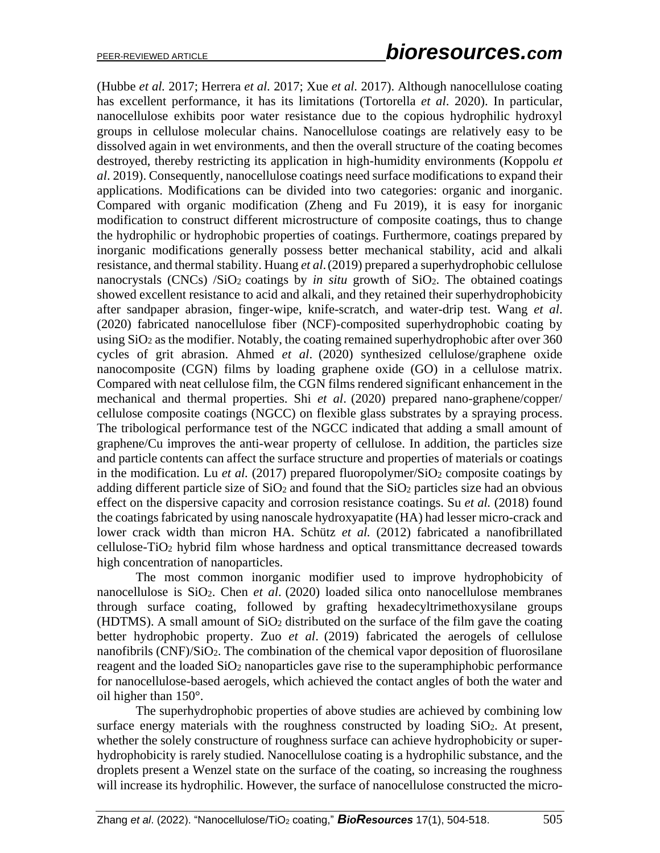(Hubbe *et al.* 2017; Herrera *et al.* 2017; Xue *et al.* 2017). Although nanocellulose coating has excellent performance, it has its limitations (Tortorella *et al*. 2020). In particular, nanocellulose exhibits poor water resistance due to the copious hydrophilic hydroxyl groups in cellulose molecular chains. Nanocellulose coatings are relatively easy to be dissolved again in wet environments, and then the overall structure of the coating becomes destroyed, thereby restricting its application in high-humidity environments (Koppolu *et al*. 2019). Consequently, nanocellulose coatings need surface modifications to expand their applications. Modifications can be divided into two categories: organic and inorganic. Compared with organic modification (Zheng and Fu 2019), it is easy for inorganic modification to construct different microstructure of composite coatings, thus to change the hydrophilic or hydrophobic properties of coatings. Furthermore, coatings prepared by inorganic modifications generally possess better mechanical stability, acid and alkali resistance, and thermal stability. Huang *et al*.(2019) prepared a superhydrophobic cellulose nanocrystals (CNCs) /SiO<sub>2</sub> coatings by *in situ* growth of SiO<sub>2</sub>. The obtained coatings showed excellent resistance to acid and alkali, and they retained their superhydrophobicity after sandpaper abrasion, finger-wipe, knife-scratch, and water-drip test. Wang *et al*. (2020) fabricated nanocellulose fiber (NCF)-composited superhydrophobic coating by using  $SiO<sub>2</sub>$  as the modifier. Notably, the coating remained superhydrophobic after over 360 cycles of grit abrasion. Ahmed *et al*. (2020) synthesized cellulose/graphene oxide nanocomposite (CGN) films by loading graphene oxide (GO) in a cellulose matrix. Compared with neat cellulose film, the CGN films rendered significant enhancement in the mechanical and thermal properties. Shi *et al*. (2020) prepared nano-graphene/copper/ cellulose composite coatings (NGCC) on flexible glass substrates by a spraying process. The tribological performance test of the NGCC indicated that adding a small amount of graphene/Cu improves the anti-wear property of cellulose. In addition, the particles size and particle contents can affect the surface structure and properties of materials or coatings in the modification. Lu *et al.* (2017) prepared fluoropolymer/SiO<sub>2</sub> composite coatings by adding different particle size of  $SiO<sub>2</sub>$  and found that the  $SiO<sub>2</sub>$  particles size had an obvious effect on the dispersive capacity and corrosion resistance coatings. Su *et al.* (2018) found the coatings fabricated by using nanoscale hydroxyapatite (HA) had lesser micro-crack and lower crack width than micron HA. Schütz *et al.* (2012) fabricated a nanofibrillated cellulose-TiO<sup>2</sup> hybrid film whose hardness and optical transmittance decreased towards high concentration of nanoparticles.

The most common inorganic modifier used to improve hydrophobicity of nanocellulose is SiO2. Chen *et al*. (2020) loaded silica onto nanocellulose membranes through surface coating, followed by grafting hexadecyltrimethoxysilane groups (HDTMS). A small amount of  $SiO<sub>2</sub>$  distributed on the surface of the film gave the coating better hydrophobic property. Zuo *et al*. (2019) fabricated the aerogels of cellulose nanofibrils (CNF)/SiO<sub>2</sub>. The combination of the chemical vapor deposition of fluorosilane reagent and the loaded SiO<sub>2</sub> nanoparticles gave rise to the superamphiphobic performance for nanocellulose-based aerogels, which achieved the contact angles of both the water and oil higher than 150°.

The superhydrophobic properties of above studies are achieved by combining low surface energy materials with the roughness constructed by loading SiO<sub>2</sub>. At present, whether the solely constructure of roughness surface can achieve hydrophobicity or superhydrophobicity is rarely studied. Nanocellulose coating is a hydrophilic substance, and the droplets present a Wenzel state on the surface of the coating, so increasing the roughness will increase its hydrophilic. However, the surface of nanocellulose constructed the micro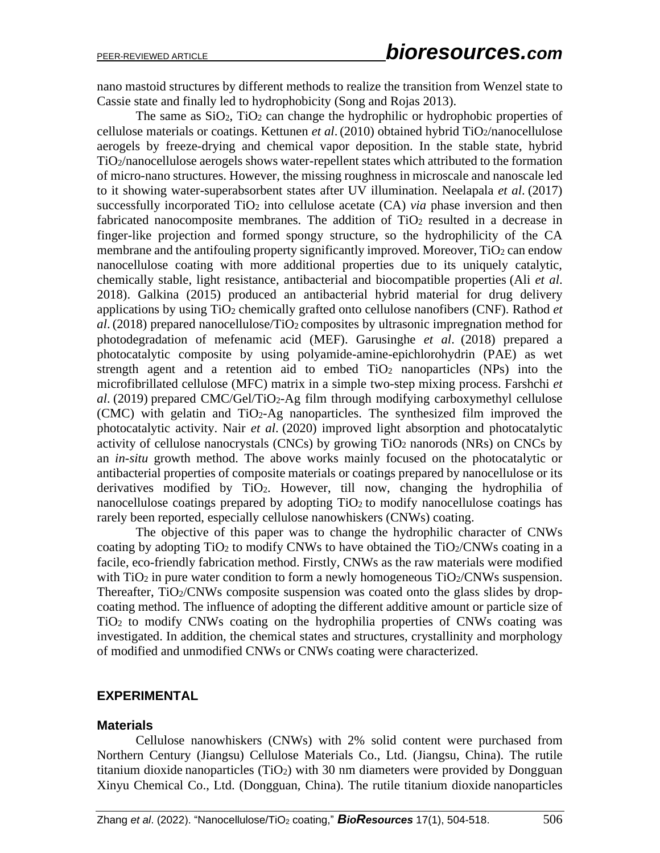nano mastoid structures by different methods to realize the transition from Wenzel state to Cassie state and finally led to hydrophobicity (Song and Rojas 2013).

The same as  $SiO<sub>2</sub>$ ,  $TiO<sub>2</sub>$  can change the hydrophilic or hydrophobic properties of cellulose materials or coatings. Kettunen *et al.* (2010) obtained hybrid TiO<sub>2</sub>/nanocellulose aerogels by freeze-drying and chemical vapor deposition. In the stable state, hybrid TiO2/nanocellulose aerogels shows water-repellent states which attributed to the formation of micro-nano structures. However, the missing roughness in microscale and nanoscale led to it showing water-superabsorbent states after UV illumination. Neelapala *et al*. (2017) successfully incorporated  $TiO<sub>2</sub>$  into cellulose acetate  $(CA)$  *via* phase inversion and then fabricated nanocomposite membranes. The addition of  $TiO<sub>2</sub>$  resulted in a decrease in finger-like projection and formed spongy structure, so the hydrophilicity of the CA membrane and the antifouling property significantly improved. Moreover,  $TiO<sub>2</sub>$  can endow nanocellulose coating with more additional properties due to its uniquely catalytic, chemically stable, light resistance, antibacterial and biocompatible properties (Ali *et al*. 2018). Galkina (2015) produced an antibacterial hybrid material for drug delivery applications by using TiO<sup>2</sup> chemically grafted onto cellulose nanofibers (CNF). Rathod *et*  al. (2018) prepared nanocellulose/TiO<sub>2</sub> composites by ultrasonic impregnation method for photodegradation of mefenamic acid (MEF). Garusinghe *et al*. (2018) prepared a photocatalytic composite by using polyamide-amine-epichlorohydrin (PAE) as wet strength agent and a retention aid to embed  $TiO<sub>2</sub>$  nanoparticles (NPs) into the microfibrillated cellulose (MFC) matrix in a simple two-step mixing process. Farshchi *et al*. (2019) prepared CMC/Gel/TiO2-Ag film through modifying carboxymethyl cellulose (CMC) with gelatin and TiO2-Ag nanoparticles. The synthesized film improved the photocatalytic activity. Nair *et al*. (2020) improved light absorption and photocatalytic activity of cellulose nanocrystals (CNCs) by growing TiO<sup>2</sup> nanorods (NRs) on CNCs by an *in-situ* growth method. The above works mainly focused on the photocatalytic or antibacterial properties of composite materials or coatings prepared by nanocellulose or its derivatives modified by TiO2. However, till now, changing the hydrophilia of nanocellulose coatings prepared by adopting  $TiO<sub>2</sub>$  to modify nanocellulose coatings has rarely been reported, especially cellulose nanowhiskers (CNWs) coating.

The objective of this paper was to change the hydrophilic character of CNWs coating by adopting  $TiO<sub>2</sub>$  to modify CNWs to have obtained the  $TiO<sub>2</sub>/CNW<sub>S</sub>$  coating in a facile, eco-friendly fabrication method. Firstly, CNWs as the raw materials were modified with  $TiO<sub>2</sub>$  in pure water condition to form a newly homogeneous  $TiO<sub>2</sub>/CNWs$  suspension. Thereafter, TiO<sub>2</sub>/CNWs composite suspension was coated onto the glass slides by dropcoating method. The influence of adopting the different additive amount or particle size of TiO<sup>2</sup> to modify CNWs coating on the hydrophilia properties of CNWs coating was investigated. In addition, the chemical states and structures, crystallinity and morphology of modified and unmodified CNWs or CNWs coating were characterized.

#### **EXPERIMENTAL**

#### **Materials**

Cellulose nanowhiskers (CNWs) with 2% solid content were purchased from Northern Century (Jiangsu) Cellulose Materials Co., Ltd. (Jiangsu, China). The rutile titanium dioxide nanoparticles (TiO<sub>2</sub>) with 30 nm diameters were provided by Dongguan Xinyu Chemical Co., Ltd. (Dongguan, China). The rutile titanium dioxide nanoparticles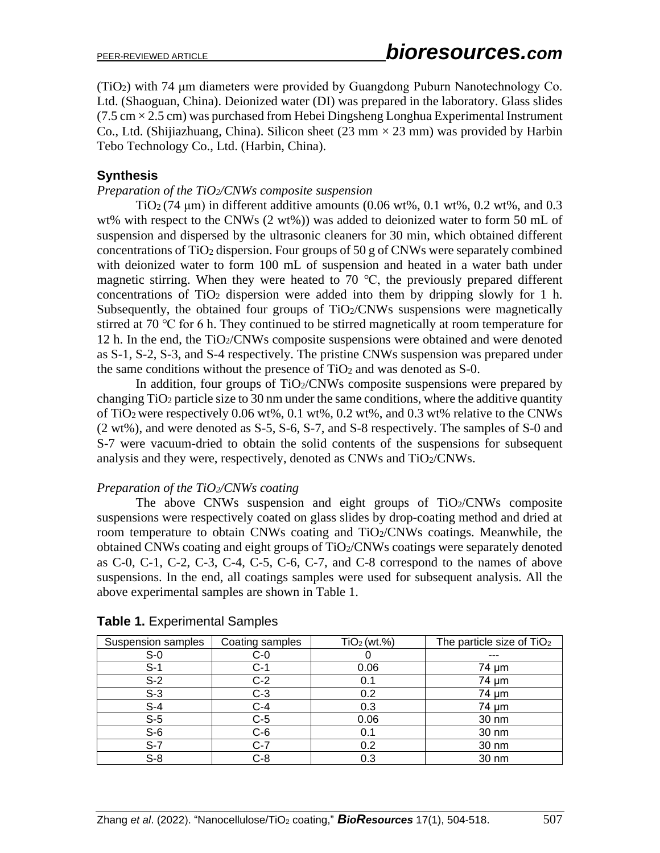(TiO2) with 74 μm diameters were provided by Guangdong Puburn Nanotechnology Co. Ltd. (Shaoguan, China). Deionized water (DI) was prepared in the laboratory. Glass slides  $(7.5 \text{ cm} \times 2.5 \text{ cm})$  was purchased from Hebei Dingsheng Longhua Experimental Instrument Co., Ltd. (Shijiazhuang, China). Silicon sheet  $(23 \text{ mm} \times 23 \text{ mm})$  was provided by Harbin Tebo Technology Co., Ltd. (Harbin, China).

# **Synthesis**

## *Preparation of the TiO2/CNWs composite suspension*

TiO<sub>2</sub> (74  $\mu$ m) in different additive amounts (0.06 wt%, 0.1 wt%, 0.2 wt%, and 0.3 wt% with respect to the CNWs (2 wt%)) was added to deionized water to form 50 mL of suspension and dispersed by the ultrasonic cleaners for 30 min, which obtained different concentrations of  $TiO<sub>2</sub>$  dispersion. Four groups of 50 g of CNWs were separately combined with deionized water to form 100 mL of suspension and heated in a water bath under magnetic stirring. When they were heated to 70 ℃, the previously prepared different concentrations of TiO<sup>2</sup> dispersion were added into them by dripping slowly for 1 h. Subsequently, the obtained four groups of  $TiO<sub>2</sub>/CNWs$  suspensions were magnetically stirred at 70 ℃ for 6 h. They continued to be stirred magnetically at room temperature for 12 h. In the end, the TiO2/CNWs composite suspensions were obtained and were denoted as S-1, S-2, S-3, and S-4 respectively. The pristine CNWs suspension was prepared under the same conditions without the presence of  $TiO<sub>2</sub>$  and was denoted as S-0.

In addition, four groups of  $TiO<sub>2</sub>/CNWs$  composite suspensions were prepared by changing TiO<sup>2</sup> particle size to 30 nm under the same conditions, where the additive quantity of TiO<sub>2</sub> were respectively 0.06 wt%, 0.1 wt%, 0.2 wt%, and 0.3 wt% relative to the CNWs (2 wt%), and were denoted as S-5, S-6, S-7, and S-8 respectively. The samples of S-0 and S-7 were vacuum-dried to obtain the solid contents of the suspensions for subsequent analysis and they were, respectively, denoted as CNWs and TiO2/CNWs.

## *Preparation of the TiO2/CNWs coating*

The above CNWs suspension and eight groups of  $TiO<sub>2</sub>/CNWs$  composite suspensions were respectively coated on glass slides by drop-coating method and dried at room temperature to obtain CNWs coating and TiO2/CNWs coatings. Meanwhile, the obtained CNWs coating and eight groups of TiO2/CNWs coatings were separately denoted as C-0, C-1, C-2, C-3, C-4, C-5, C-6, C-7, and C-8 correspond to the names of above suspensions. In the end, all coatings samples were used for subsequent analysis. All the above experimental samples are shown in Table 1.

| <b>Suspension samples</b> | Coating samples | TiO <sub>2</sub> (wt. <sub>%</sub> ) | The particle size of TiO <sub>2</sub> |
|---------------------------|-----------------|--------------------------------------|---------------------------------------|
| $S-0$                     | $C-0$           |                                      | ---                                   |
| $S-1$                     | $C-1$           | 0.06                                 | 74 µm                                 |
| $S-2$                     | $C-2$           | 0.1                                  | 74 µm                                 |
| $S-3$                     | $C-3$           | 0.2                                  | 74 µm                                 |
| $S-4$                     | $C-4$           | 0.3                                  | 74 µm                                 |
| $S-5$                     | $C-5$           | 0.06                                 | 30 nm                                 |
| $S-6$                     | $C-6$           | 0.1                                  | 30 nm                                 |
| $S-7$                     | $C-7$           | 0.2                                  | 30 nm                                 |
| $S-8$                     | $C-8$           | 0.3                                  | 30 nm                                 |

|  |  | Table 1. Experimental Samples |
|--|--|-------------------------------|
|--|--|-------------------------------|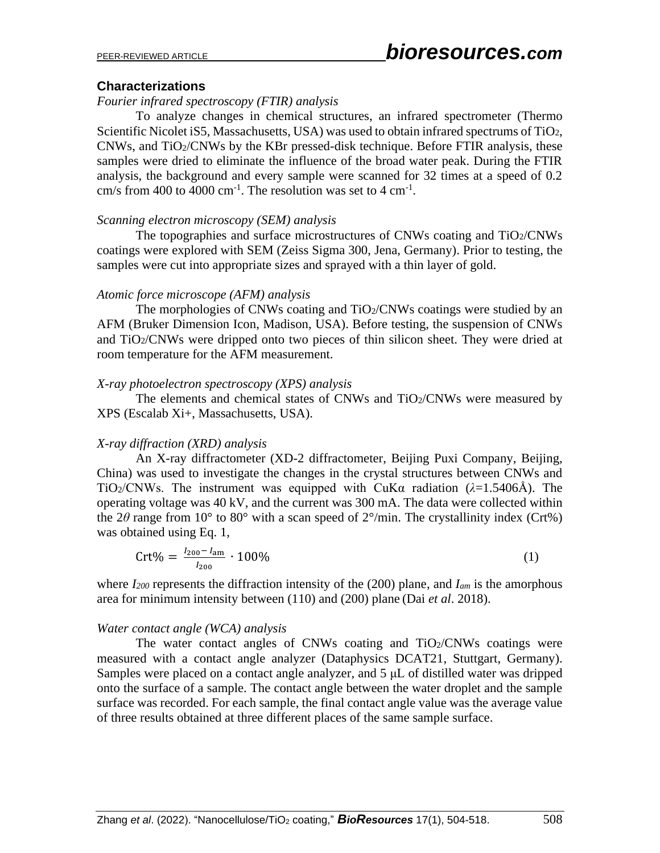#### **Characterizations**

### *Fourier infrared spectroscopy (FTIR) analysis*

To analyze changes in chemical structures, an infrared spectrometer (Thermo Scientific Nicolet iS5, Massachusetts, USA) was used to obtain infrared spectrums of TiO2,  $CNWs$ , and  $TiO<sub>2</sub>/CNWs$  by the KBr pressed-disk technique. Before FTIR analysis, these samples were dried to eliminate the influence of the broad water peak. During the FTIR analysis, the background and every sample were scanned for 32 times at a speed of 0.2 cm/s from 400 to 4000 cm<sup>-1</sup>. The resolution was set to 4 cm<sup>-1</sup>.

#### *Scanning electron microscopy (SEM) analysis*

The topographies and surface microstructures of CNWs coating and TiO2/CNWs coatings were explored with SEM (Zeiss Sigma 300, Jena, Germany). Prior to testing, the samples were cut into appropriate sizes and sprayed with a thin layer of gold.

#### *Atomic force microscope (AFM) analysis*

The morphologies of CNWs coating and  $TiO<sub>2</sub>/CNW<sub>S</sub>$  coatings were studied by an AFM (Bruker Dimension Icon, Madison, USA). Before testing, the suspension of CNWs and TiO2/CNWs were dripped onto two pieces of thin silicon sheet. They were dried at room temperature for the AFM measurement.

#### *X-ray photoelectron spectroscopy (XPS) analysis*

The elements and chemical states of CNWs and TiO2/CNWs were measured by XPS (Escalab Xi+, Massachusetts, USA).

## *X-ray diffraction (XRD) analysis*

An X-ray diffractometer (XD-2 diffractometer, Beijing Puxi Company, Beijing, China) was used to investigate the changes in the crystal structures between CNWs and TiO<sub>2</sub>/CNWs. The instrument was equipped with CuKa radiation ( $\lambda$ =1.5406Å). The operating voltage was 40 kV, and the current was 300 mA. The data were collected within the 2 $\theta$  range from 10° to 80° with a scan speed of 2°/min. The crystallinity index (Crt%) was obtained using Eq. 1,

$$
Crt\% = \frac{I_{200} - I_{\text{am}}}{I_{200}} \cdot 100\%
$$
 (1)

where *I<sup>200</sup>* represents the diffraction intensity of the (200) plane, and *Iam* is the amorphous area for minimum intensity between (110) and (200) plane (Dai *et al*. 2018).

#### *Water contact angle (WCA) analysis*

The water contact angles of CNWs coating and  $TiO<sub>2</sub>/CNW<sub>S</sub>$  coatings were measured with a contact angle analyzer (Dataphysics DCAT21, Stuttgart, Germany). Samples were placed on a contact angle analyzer, and 5 μL of distilled water was dripped onto the surface of a sample. The contact angle between the water droplet and the sample surface was recorded. For each sample, the final contact angle value was the average value of three results obtained at three different places of the same sample surface.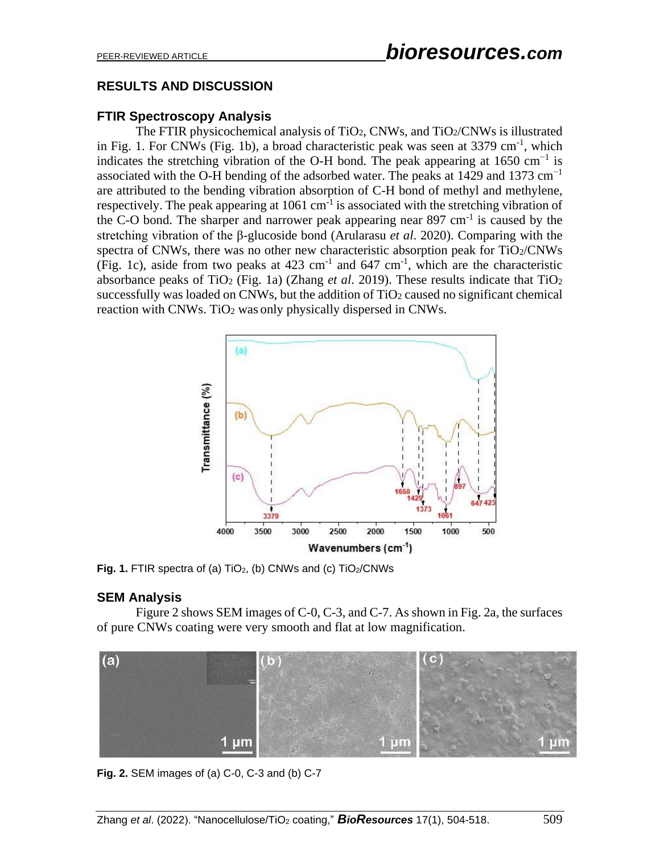# **RESULTS AND DISCUSSION**

# **FTIR Spectroscopy Analysis**

The FTIR physicochemical analysis of TiO<sub>2</sub>, CNWs, and TiO<sub>2</sub>/CNWs is illustrated in Fig. 1. For CNWs (Fig. 1b), a broad characteristic peak was seen at 3379 cm<sup>-1</sup>, which indicates the stretching vibration of the O-H bond. The peak appearing at  $1650 \text{ cm}^{-1}$  is associated with the O-H bending of the adsorbed water. The peaks at 1429 and 1373 cm<sup>-1</sup> are attributed to the bending vibration absorption of C-H bond of methyl and methylene, respectively. The peak appearing at  $1061 \text{ cm}^{-1}$  is associated with the stretching vibration of the C-O bond. The sharper and narrower peak appearing near  $897 \text{ cm}^{-1}$  is caused by the stretching vibration of the β-glucoside bond (Arularasu *et al*. 2020). Comparing with the spectra of CNWs, there was no other new characteristic absorption peak for TiO2/CNWs (Fig. 1c), aside from two peaks at  $423 \text{ cm}^{-1}$  and  $647 \text{ cm}^{-1}$ , which are the characteristic absorbance peaks of TiO<sub>2</sub> (Fig. 1a) (Zhang *et al.* 2019). These results indicate that  $TiO<sub>2</sub>$ successfully was loaded on CNWs, but the addition of  $TiO<sub>2</sub>$  caused no significant chemical reaction with CNWs. TiO<sub>2</sub> was only physically dispersed in CNWs.



Fig. 1. FTIR spectra of (a) TiO<sub>2</sub>, (b) CNWs and (c) TiO<sub>2</sub>/CNWs

# **SEM Analysis**

Figure 2 shows SEM images of C-0, C-3, and C-7. As shown in Fig. 2a, the surfaces of pure CNWs coating were very smooth and flat at low magnification.



**Fig. 2.** SEM images of (a) C-0, C-3 and (b) C-7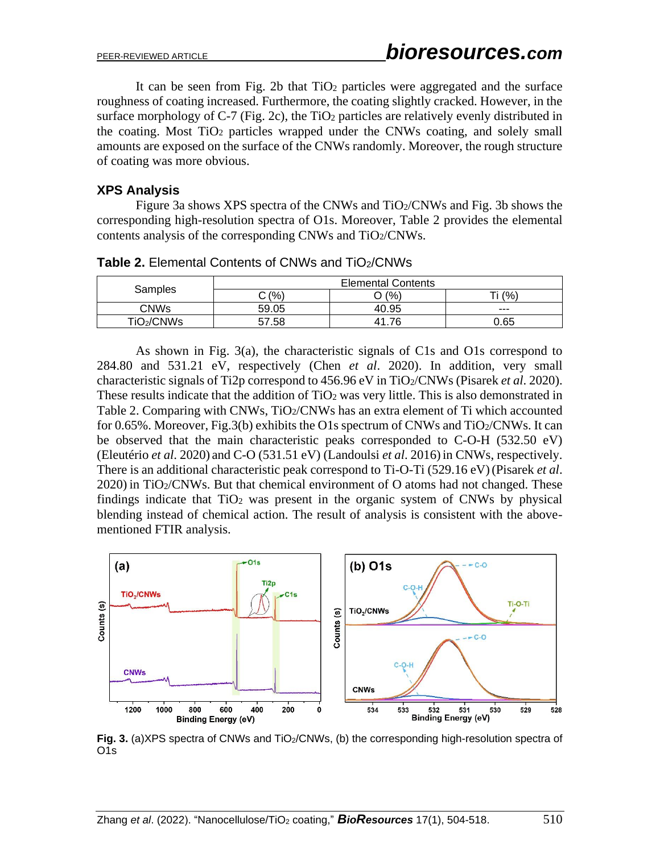It can be seen from Fig. 2b that  $TiO<sub>2</sub>$  particles were aggregated and the surface roughness of coating increased. Furthermore, the coating slightly cracked. However, in the surface morphology of C-7 (Fig. 2c), the  $TiO<sub>2</sub>$  particles are relatively evenly distributed in the coating. Most TiO<sup>2</sup> particles wrapped under the CNWs coating, and solely small amounts are exposed on the surface of the CNWs randomly. Moreover, the rough structure of coating was more obvious.

# **XPS Analysis**

Figure 3a shows XPS spectra of the CNWs and  $TiO<sub>2</sub>/CNWs$  and Fig. 3b shows the corresponding high-resolution spectra of O1s. Moreover, Table 2 provides the elemental contents analysis of the corresponding CNWs and TiO2/CNWs.

| Samples                | <b>Elemental Contents</b> |       |       |
|------------------------|---------------------------|-------|-------|
|                        | ን (%)                     | (% )  | (%    |
| CNWs                   | 59.05                     | 40.95 | $---$ |
| TiO <sub>2</sub> /CNWs | .58<br>57                 | 76    | 0.65  |

**Table 2.** Elemental Contents of CNWs and TiO<sub>2</sub>/CNWs

As shown in Fig. 3(a), the characteristic signals of C1s and O1s correspond to 284.80 and 531.21 eV, respectively (Chen *et al*. 2020). In addition, very small characteristic signals of Ti2p correspond to 456.96 eV in TiO2/CNWs (Pisarek *et al*. 2020). These results indicate that the addition of  $TiO<sub>2</sub>$  was very little. This is also demonstrated in Table 2. Comparing with CNWs, TiO<sub>2</sub>/CNWs has an extra element of Ti which accounted for 0.65%. Moreover, Fig.3(b) exhibits the O1s spectrum of CNWs and  $TiO_2/CNWs$ . It can be observed that the main characteristic peaks corresponded to C-O-H (532.50 eV) (Eleutério *et al*. 2020) and C-O (531.51 eV) (Landoulsi *et al*. 2016)in CNWs, respectively. There is an additional characteristic peak correspond to Ti-O-Ti (529.16 eV)(Pisarek *et al*. 2020) in TiO2/CNWs. But that chemical environment of O atoms had not changed. These findings indicate that  $TiO<sub>2</sub>$  was present in the organic system of CNWs by physical blending instead of chemical action. The result of analysis is consistent with the abovementioned FTIR analysis.



Fig. 3. (a)XPS spectra of CNWs and TiO<sub>2</sub>/CNWs, (b) the corresponding high-resolution spectra of O1s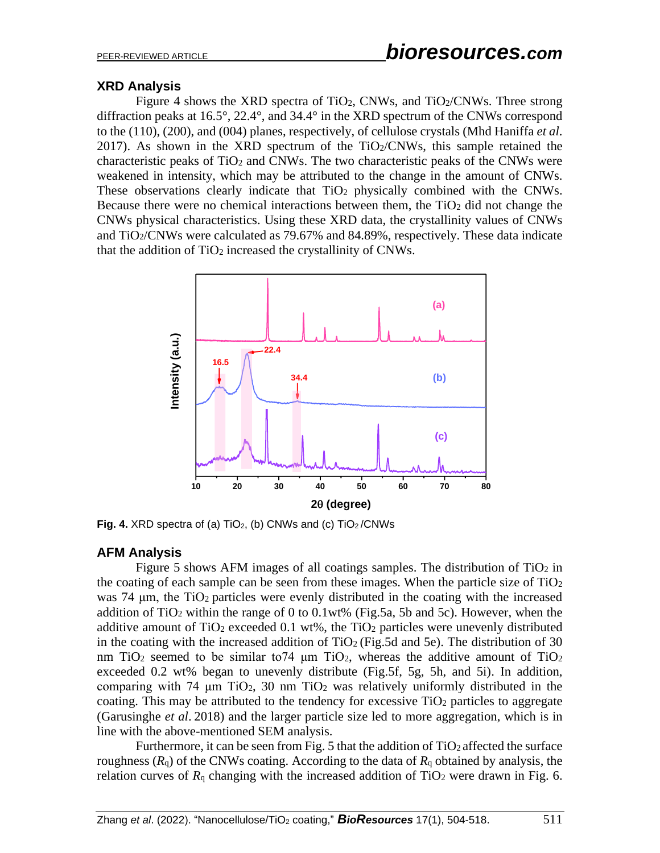# **XRD Analysis**

Figure 4 shows the XRD spectra of TiO<sub>2</sub>, CNWs, and TiO<sub>2</sub>/CNWs. Three strong diffraction peaks at 16.5°, 22.4°, and 34.4° in the XRD spectrum of the CNWs correspond to the (110), (200), and (004) planes, respectively, of cellulose crystals (Mhd Haniffa *et al*.  $2017$ ). As shown in the XRD spectrum of the TiO $2/CNWs$ , this sample retained the characteristic peaks of  $TiO<sub>2</sub>$  and CNWs. The two characteristic peaks of the CNWs were weakened in intensity, which may be attributed to the change in the amount of CNWs. These observations clearly indicate that  $TiO<sub>2</sub>$  physically combined with the CNWs. Because there were no chemical interactions between them, the  $TiO<sub>2</sub>$  did not change the CNWs physical characteristics. Using these XRD data, the crystallinity values of CNWs and TiO2/CNWs were calculated as 79.67% and 84.89%, respectively. These data indicate that the addition of TiO<sub>2</sub> increased the crystallinity of CNWs.



**Fig. 4.** XRD spectra of (a) TiO<sub>2</sub>, (b) CNWs and (c) TiO<sub>2</sub>/CNWs

# **AFM Analysis**

Figure 5 shows AFM images of all coatings samples. The distribution of  $TiO<sub>2</sub>$  in the coating of each sample can be seen from these images. When the particle size of  $TiO<sub>2</sub>$ was 74 μm, the TiO2 particles were evenly distributed in the coating with the increased addition of TiO<sub>2</sub> within the range of 0 to 0.1wt% (Fig.5a, 5b and 5c). However, when the additive amount of  $TiO<sub>2</sub>$  exceeded 0.1 wt%, the  $TiO<sub>2</sub>$  particles were unevenly distributed in the coating with the increased addition of  $TiO<sub>2</sub>$  (Fig.5d and 5e). The distribution of 30 nm TiO<sub>2</sub> seemed to be similar to74  $\mu$ m TiO<sub>2</sub>, whereas the additive amount of TiO<sub>2</sub> exceeded 0.2 wt% began to unevenly distribute (Fig.5f, 5g, 5h, and 5i). In addition, comparing with 74  $\mu$ m TiO<sub>2</sub>, 30 nm TiO<sub>2</sub> was relatively uniformly distributed in the coating. This may be attributed to the tendency for excessive  $TiO<sub>2</sub>$  particles to aggregate (Garusinghe *et al*. 2018) and the larger particle size led to more aggregation, which is in line with the above-mentioned SEM analysis.

Furthermore, it can be seen from Fig. 5 that the addition of  $TiO<sub>2</sub>$  affected the surface roughness  $(R_q)$  of the CNWs coating. According to the data of  $R_q$  obtained by analysis, the relation curves of  $R_q$  changing with the increased addition of TiO<sub>2</sub> were drawn in Fig. 6.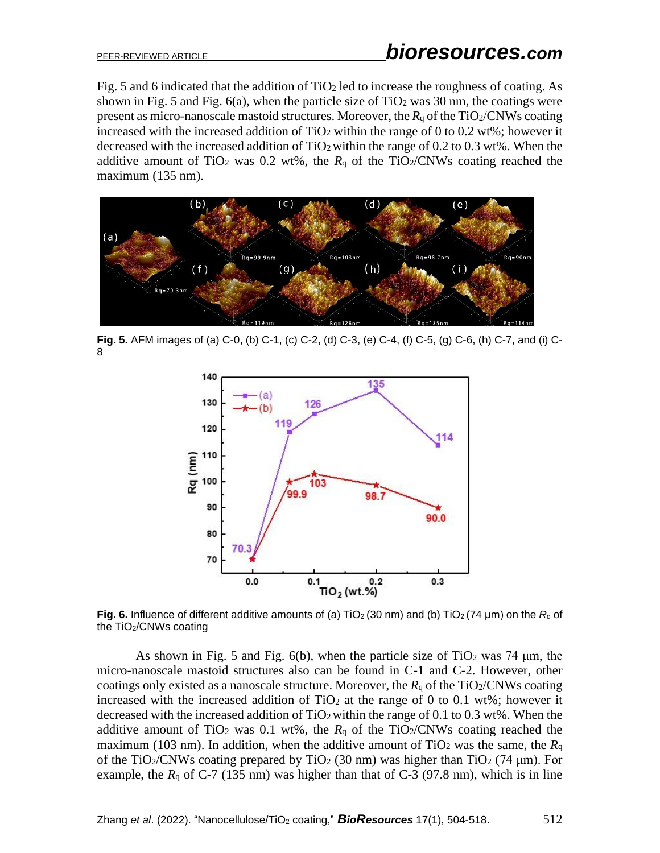Fig. 5 and 6 indicated that the addition of  $TiO<sub>2</sub>$  led to increase the roughness of coating. As shown in Fig. 5 and Fig.  $6(a)$ , when the particle size of TiO<sub>2</sub> was 30 nm, the coatings were present as micro-nanoscale mastoid structures. Moreover, the *R*<sub>q</sub> of the TiO<sub>2</sub>/CNWs coating increased with the increased addition of  $TiO<sub>2</sub>$  within the range of 0 to 0.2 wt%; however it decreased with the increased addition of  $TiO<sub>2</sub>$  within the range of 0.2 to 0.3 wt%. When the additive amount of TiO<sub>2</sub> was 0.2 wt%, the  $R_q$  of the TiO<sub>2</sub>/CNWs coating reached the maximum (135 nm).



**Fig. 5.** AFM images of (a) C-0, (b) C-1, (c) C-2, (d) C-3, (e) C-4, (f) C-5, (g) C-6, (h) C-7, and (i) C-8



**Fig. 6.** Influence of different additive amounts of (a) TiO<sup>2</sup> (30 nm) and (b) TiO<sup>2</sup> (74 μm) on the *R*<sup>q</sup> of the TiO<sub>2</sub>/CNWs coating

As shown in Fig. 5 and Fig. 6(b), when the particle size of TiO<sub>2</sub> was 74  $\mu$ m, the micro-nanoscale mastoid structures also can be found in C-1 and C-2. However, other coatings only existed as a nanoscale structure. Moreover, the  $R_q$  of the TiO<sub>2</sub>/CNWs coating increased with the increased addition of  $TiO<sub>2</sub>$  at the range of 0 to 0.1 wt%; however it decreased with the increased addition of  $TiO<sub>2</sub>$  within the range of 0.1 to 0.3 wt%. When the additive amount of TiO<sub>2</sub> was 0.1 wt%, the  $R_q$  of the TiO<sub>2</sub>/CNWs coating reached the maximum (103 nm). In addition, when the additive amount of TiO<sub>2</sub> was the same, the  $R<sub>q</sub>$ of the TiO<sub>2</sub>/CNWs coating prepared by TiO<sub>2</sub> (30 nm) was higher than TiO<sub>2</sub> (74  $\mu$ m). For example, the  $R_q$  of C-7 (135 nm) was higher than that of C-3 (97.8 nm), which is in line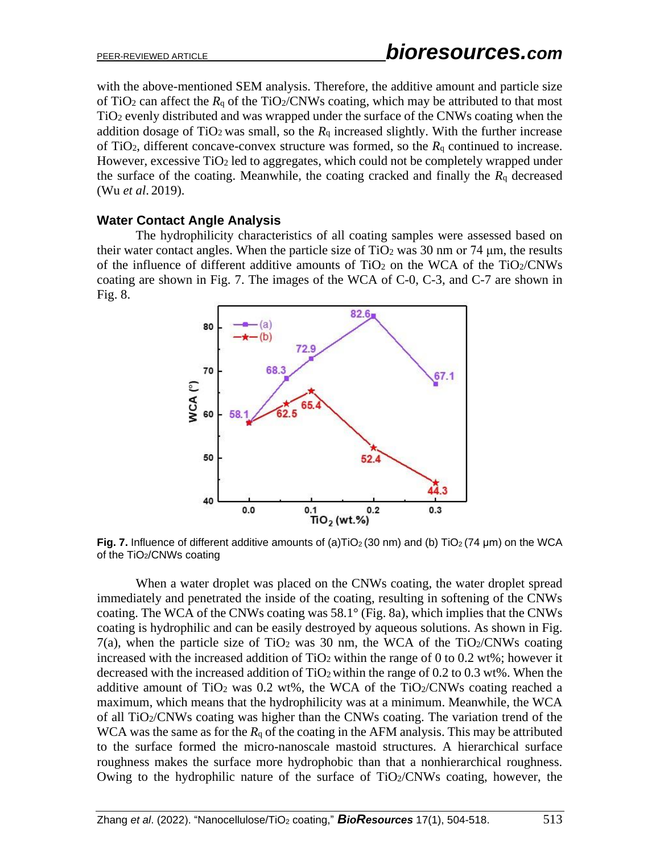with the above-mentioned SEM analysis. Therefore, the additive amount and particle size of TiO<sub>2</sub> can affect the  $R_q$  of the TiO<sub>2</sub>/CNWs coating, which may be attributed to that most TiO<sup>2</sup> evenly distributed and was wrapped under the surface of the CNWs coating when the addition dosage of TiO<sub>2</sub> was small, so the  $R_q$  increased slightly. With the further increase of TiO2, different concave-convex structure was formed, so the *R*<sup>q</sup> continued to increase. However, excessive TiO<sup>2</sup> led to aggregates, which could not be completely wrapped under the surface of the coating. Meanwhile, the coating cracked and finally the  $R_q$  decreased (Wu *et al*. 2019).

# **Water Contact Angle Analysis**

The hydrophilicity characteristics of all coating samples were assessed based on their water contact angles. When the particle size of  $TiO<sub>2</sub>$  was 30 nm or 74  $\mu$ m, the results of the influence of different additive amounts of  $TiO<sub>2</sub>$  on the WCA of the  $TiO<sub>2</sub>/CNWs$ coating are shown in Fig. 7. The images of the WCA of C-0, C-3, and C-7 are shown in Fig. 8.



**Fig. 7.** Influence of different additive amounts of (a)TiO<sub>2</sub> (30 nm) and (b) TiO<sub>2</sub> (74 µm) on the WCA of the TiO2/CNWs coating

When a water droplet was placed on the CNWs coating, the water droplet spread immediately and penetrated the inside of the coating, resulting in softening of the CNWs coating. The WCA of the CNWs coating was 58.1° (Fig. 8a), which implies that the CNWs coating is hydrophilic and can be easily destroyed by aqueous solutions. As shown in Fig. 7(a), when the particle size of TiO<sub>2</sub> was 30 nm, the WCA of the TiO<sub>2</sub>/CNWs coating increased with the increased addition of  $TiO<sub>2</sub>$  within the range of 0 to 0.2 wt%; however it decreased with the increased addition of  $TiO<sub>2</sub>$  within the range of 0.2 to 0.3 wt%. When the additive amount of TiO<sub>2</sub> was 0.2 wt%, the WCA of the TiO<sub>2</sub>/CNWs coating reached a maximum, which means that the hydrophilicity was at a minimum. Meanwhile, the WCA of all TiO2/CNWs coating was higher than the CNWs coating. The variation trend of the WCA was the same as for the  $R_q$  of the coating in the AFM analysis. This may be attributed to the surface formed the micro-nanoscale mastoid structures. A hierarchical surface roughness makes the surface more hydrophobic than that a nonhierarchical roughness. Owing to the hydrophilic nature of the surface of  $TiO<sub>2</sub>/CNW<sub>S</sub>$  coating, however, the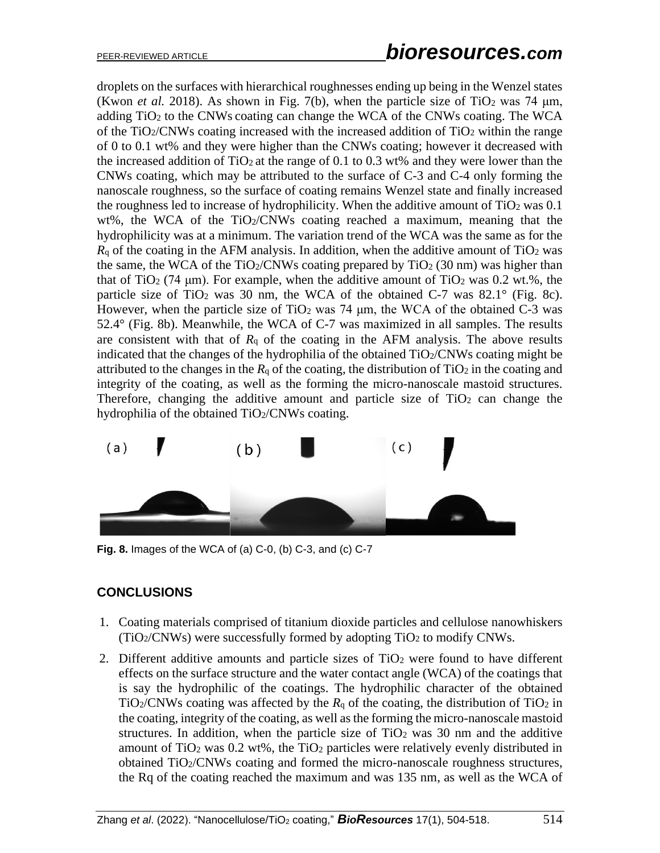droplets on the surfaces with hierarchical roughnesses ending up being in the Wenzel states (Kwon *et al.* 2018). As shown in Fig. 7(b), when the particle size of TiO<sub>2</sub> was 74  $\mu$ m, adding  $TiO<sub>2</sub>$  to the CNWs coating can change the WCA of the CNWs coating. The WCA of the TiO $2/CNWs$  coating increased with the increased addition of TiO $2$  within the range of 0 to 0.1 wt% and they were higher than the CNWs coating; however it decreased with the increased addition of  $TiO<sub>2</sub>$  at the range of 0.1 to 0.3 wt% and they were lower than the CNWs coating, which may be attributed to the surface of C-3 and C-4 only forming the nanoscale roughness, so the surface of coating remains Wenzel state and finally increased the roughness led to increase of hydrophilicity. When the additive amount of  $TiO<sub>2</sub>$  was 0.1 wt%, the WCA of the TiO $2/CNWs$  coating reached a maximum, meaning that the hydrophilicity was at a minimum. The variation trend of the WCA was the same as for the  $R<sub>q</sub>$  of the coating in the AFM analysis. In addition, when the additive amount of TiO<sub>2</sub> was the same, the WCA of the TiO<sub>2</sub>/CNWs coating prepared by TiO<sub>2</sub> (30 nm) was higher than that of TiO<sub>2</sub> (74  $\mu$ m). For example, when the additive amount of TiO<sub>2</sub> was 0.2 wt.%, the particle size of TiO<sub>2</sub> was 30 nm, the WCA of the obtained C-7 was  $82.1^\circ$  (Fig. 8c). However, when the particle size of TiO<sub>2</sub> was 74  $\mu$ m, the WCA of the obtained C-3 was 52.4° (Fig. 8b). Meanwhile, the WCA of C-7 was maximized in all samples. The results are consistent with that of  $R_q$  of the coating in the AFM analysis. The above results indicated that the changes of the hydrophilia of the obtained  $TiO<sub>2</sub>/CNW<sub>S</sub>$  coating might be attributed to the changes in the  $R_q$  of the coating, the distribution of  $TiO<sub>2</sub>$  in the coating and integrity of the coating, as well as the forming the micro-nanoscale mastoid structures. Therefore, changing the additive amount and particle size of  $TiO<sub>2</sub>$  can change the hydrophilia of the obtained TiO2/CNWs coating.



**Fig. 8.** Images of the WCA of (a) C-0, (b) C-3, and (c) C-7

# **CONCLUSIONS**

- 1. Coating materials comprised of titanium dioxide particles and cellulose nanowhiskers  $(TiO<sub>2</sub>/CNWs)$  were successfully formed by adopting  $TiO<sub>2</sub>$  to modify CNWs.
- 2. Different additive amounts and particle sizes of TiO<sup>2</sup> were found to have different effects on the surface structure and the water contact angle (WCA) of the coatings that is say the hydrophilic of the coatings. The hydrophilic character of the obtained TiO<sub>2</sub>/CNWs coating was affected by the  $R_q$  of the coating, the distribution of TiO<sub>2</sub> in the coating, integrity of the coating, as well as the forming the micro-nanoscale mastoid structures. In addition, when the particle size of  $TiO<sub>2</sub>$  was 30 nm and the additive amount of TiO<sub>2</sub> was  $0.2$  wt%, the TiO<sub>2</sub> particles were relatively evenly distributed in obtained TiO2/CNWs coating and formed the micro-nanoscale roughness structures, the Rq of the coating reached the maximum and was 135 nm, as well as the WCA of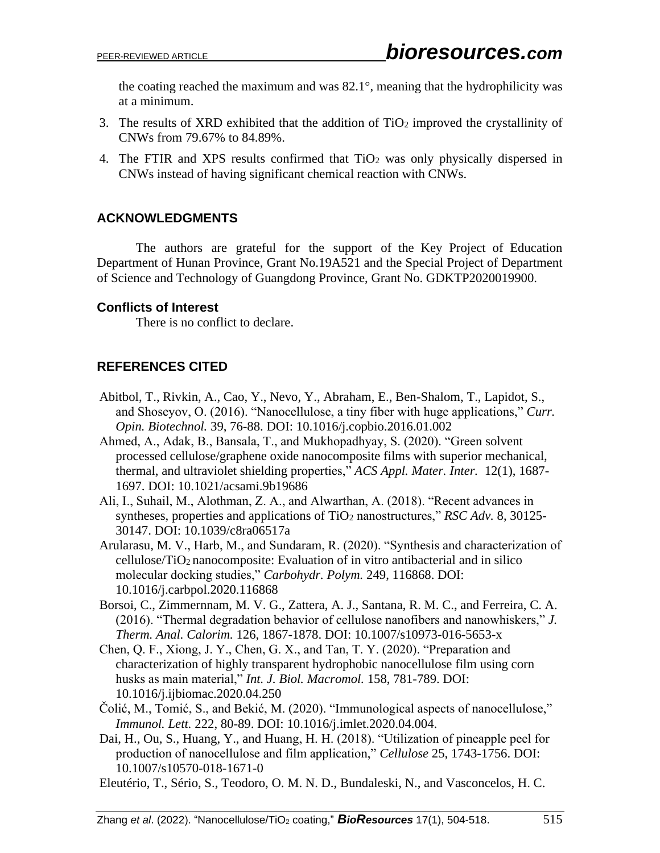the coating reached the maximum and was 82.1°, meaning that the hydrophilicity was at a minimum.

- 3. The results of XRD exhibited that the addition of  $TiO<sub>2</sub>$  improved the crystallinity of CNWs from 79.67% to 84.89%.
- 4. The FTIR and XPS results confirmed that TiO<sub>2</sub> was only physically dispersed in CNWs instead of having significant chemical reaction with CNWs.

# **ACKNOWLEDGMENTS**

The authors are grateful for the support of the Key Project of Education Department of Hunan Province, Grant No.19A521 and the Special Project of Department of Science and Technology of Guangdong Province, Grant No. GDKTP2020019900.

## **Conflicts of Interest**

There is no conflict to declare.

# **REFERENCES CITED**

- Abitbol, T., Rivkin, A., Cao, Y., Nevo, Y., Abraham, E., Ben-Shalom, T., Lapidot, S., and Shoseyov, O. (2016). "Nanocellulose, a tiny fiber with huge applications," *Curr. Opin. Biotechnol.* 39, 76-88. DOI: 10.1016/j.copbio.2016.01.002
- Ahmed, A., Adak, B., Bansala, T., and Mukhopadhyay, S. (2020). "Green solvent processed cellulose/graphene oxide nanocomposite films with superior mechanical, thermal, and ultraviolet shielding properties," *ACS Appl. Mater. Inter.* 12(1), 1687- 1697. DOI: 10.1021/acsami.9b19686
- Ali, I., Suhail, M., Alothman, Z. A., and Alwarthan, A. (2018). "Recent advances in syntheses, properties and applications of TiO<sub>2</sub> nanostructures," *RSC Adv.* 8, 30125-30147. DOI: 10.1039/c8ra06517a
- Arularasu, M. V., Harb, M., and Sundaram, R. (2020). "Synthesis and characterization of cellulose/TiO2 nanocomposite: Evaluation of in vitro antibacterial and in silico molecular docking studies," *Carbohydr. Polym.* 249, 116868. DOI: 10.1016/j.carbpol.2020.116868
- Borsoi, C., Zimmernnam, M. V. G., Zattera, A. J., Santana, R. M. C., and Ferreira, C. A. (2016). "Thermal degradation behavior of cellulose nanofibers and nanowhiskers," *J. Therm. Anal. Calorim.* 126, 1867-1878. DOI: 10.1007/s10973-016-5653-x
- Chen, Q. F., Xiong, J. Y., Chen, G. X., and Tan, T. Y. (2020). "Preparation and characterization of highly transparent hydrophobic nanocellulose film using corn husks as main material," *Int. J. Biol. Macromol.* 158, 781-789. DOI: 10.1016/j.ijbiomac.2020.04.250
- Čolić, M., Tomić, S., and Bekić, M. (2020). "Immunological aspects of nanocellulose," *Immunol. Lett.* 222, 80-89. DOI: 10.1016/j.imlet.2020.04.004.
- Dai, H., Ou, S., Huang, Y., and Huang, H. H. (2018). "Utilization of pineapple peel for production of nanocellulose and film application," *Cellulose* 25, 1743-1756. DOI: 10.1007/s10570-018-1671-0
- Eleutério, T., Sério, S., Teodoro, O. M. N. D., Bundaleski, N., and Vasconcelos, H. C.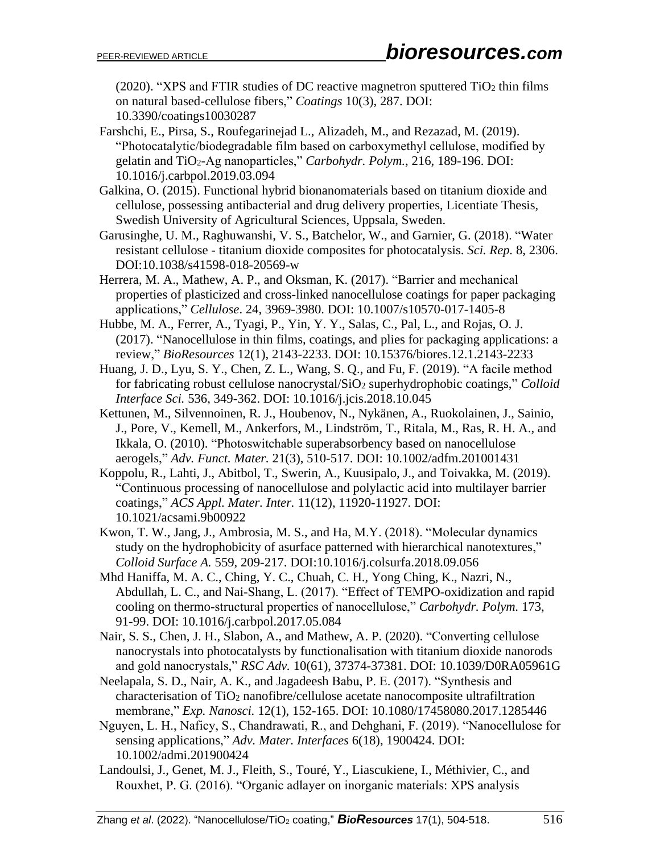(2020). "XPS and FTIR studies of DC reactive magnetron sputtered  $TiO<sub>2</sub>$  thin films on natural based-cellulose fibers," *Coatings* 10(3), 287. DOI: 10.3390/coatings10030287

Farshchi, E., Pirsa, S., Roufegarinejad L., Alizadeh, M., and Rezazad, M. (2019). "Photocatalytic/biodegradable film based on carboxymethyl cellulose, modified by gelatin and TiO2-Ag nanoparticles," *Carbohydr. Polym.*, 216, 189-196. DOI: 10.1016/j.carbpol.2019.03.094

Galkina, O. (2015). Functional hybrid bionanomaterials based on titanium dioxide and cellulose, possessing antibacterial and drug delivery properties, Licentiate Thesis, Swedish University of Agricultural Sciences, Uppsala, Sweden.

Garusinghe, U. M., Raghuwanshi, V. S., Batchelor, W., and Garnier, G. (2018). "Water resistant cellulose - titanium dioxide composites for photocatalysis. *Sci. Rep.* 8, 2306. DOI:10.1038/s41598-018-20569-w

Herrera, M. A., Mathew, A. P., and Oksman, K. (2017). "Barrier and mechanical properties of plasticized and cross-linked nanocellulose coatings for paper packaging applications," *Cellulose*. 24, 3969-3980. DOI: 10.1007/s10570-017-1405-8

Hubbe, M. A., Ferrer, A., Tyagi, P., Yin, Y. Y., Salas, C., Pal, L., and Rojas, O. J. (2017). "Nanocellulose in thin films, coatings, and plies for packaging applications: a review," *BioResources* 12(1), 2143-2233. DOI: 10.15376/biores.12.1.2143-2233

Huang, J. D., Lyu, S. Y., Chen, Z. L., Wang, S. Q., and Fu, F. (2019). "A facile method for fabricating robust cellulose nanocrystal/SiO<sup>2</sup> superhydrophobic coatings," *Colloid Interface Sci.* 536, 349-362. DOI: 10.1016/j.jcis.2018.10.045

Kettunen, M., Silvennoinen, R. J., Houbenov, N., Nykänen, A., Ruokolainen, J., Sainio, J., Pore, V., Kemell, M., Ankerfors, M., Lindström, T., Ritala, M., Ras, R. H. A., and Ikkala, O. (2010). "Photoswitchable superabsorbency based on nanocellulose aerogels," *Adv. Funct. Mater.* 21(3), 510-517. DOI: 10.1002/adfm.201001431

Koppolu, R., Lahti, J., Abitbol, T., Swerin, A., Kuusipalo, J., and Toivakka, M. (2019). "Continuous processing of nanocellulose and polylactic acid into multilayer barrier coatings," *ACS Appl. Mater. Inter.* 11(12), 11920-11927. DOI: 10.1021/acsami.9b00922

Kwon, T. W., Jang, J., Ambrosia, M. S., and Ha, M.Y. (2018). "Molecular dynamics study on the hydrophobicity of asurface patterned with hierarchical nanotextures," *Colloid Surface A.* 559, 209-217. DOI:10.1016/j.colsurfa.2018.09.056

Mhd Haniffa, M. A. C., Ching, Y. C., Chuah, C. H., Yong Ching, K., Nazri, N., Abdullah, L. C., and Nai-Shang, L. (2017). "Effect of TEMPO-oxidization and rapid cooling on thermo-structural properties of nanocellulose," *Carbohydr. Polym.* 173, 91-99. DOI: 10.1016/j.carbpol.2017.05.084

Nair, S. S., Chen, J. H., Slabon, A., and Mathew, A. P. (2020). "Converting cellulose nanocrystals into photocatalysts by functionalisation with titanium dioxide nanorods and gold nanocrystals," *RSC Adv.* 10(61), 37374-37381. DOI: 10.1039/D0RA05961G

Neelapala, S. D., Nair, A. K., and Jagadeesh Babu, P. E. (2017). "Synthesis and characterisation of TiO<sup>2</sup> nanofibre/cellulose acetate nanocomposite ultrafiltration membrane," *Exp. Nanosci.* 12(1), 152-165. DOI: 10.1080/17458080.2017.1285446

Nguyen, L. H., Naficy, S., Chandrawati, R., and Dehghani, F. (2019). "Nanocellulose for sensing applications," *Adv. Mater. Interfaces* 6(18), 1900424. DOI: 10.1002/admi.201900424

Landoulsi, J., Genet, M. J., Fleith, S., Touré, Y., Liascukiene, I., Méthivier, C., and Rouxhet, P. G. (2016). "Organic adlayer on inorganic materials: XPS analysis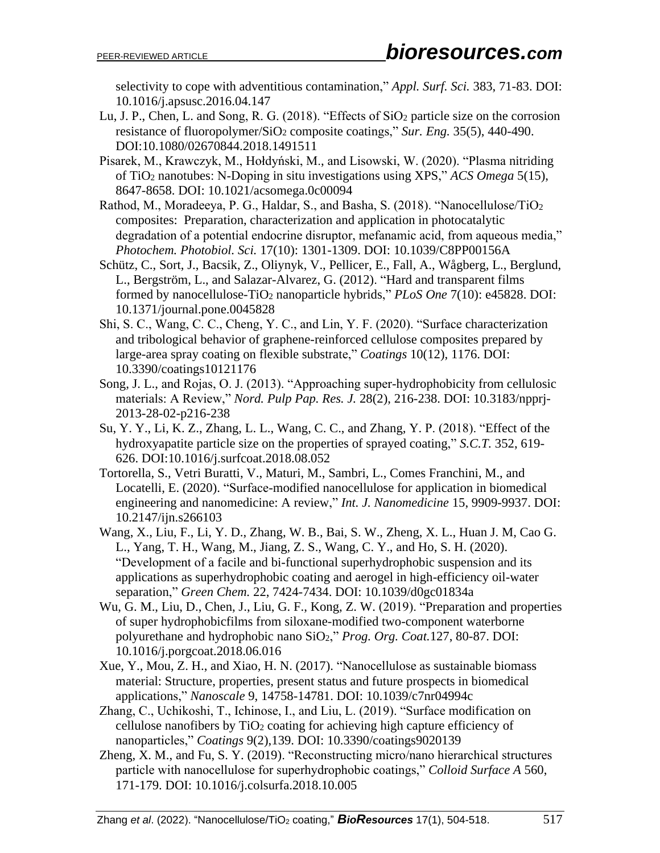selectivity to cope with adventitious contamination," *Appl. Surf. Sci.* 383, 71-83. DOI: 10.1016/j.apsusc.2016.04.147

- Lu, J. P., Chen, L. and Song, R. G. (2018). "Effects of SiO<sub>2</sub> particle size on the corrosion resistance of fluoropolymer/SiO<sup>2</sup> composite coatings," *Sur. Eng.* 35(5), 440-490. DOI:10.1080/02670844.2018.1491511
- Pisarek, M., Krawczyk, M., Hołdyński, M., and Lisowski, W. (2020). "Plasma nitriding of TiO<sup>2</sup> nanotubes: N‑Doping in situ investigations using XPS," *ACS Omega* 5(15), 8647-8658. DOI: 10.1021/acsomega.0c00094
- Rathod, M., Moradeeya, P. G., Haldar, S., and Basha, S. (2018). "Nanocellulose/TiO<sup>2</sup> composites: Preparation, characterization and application in photocatalytic degradation of a potential endocrine disruptor, mefanamic acid, from aqueous media," *Photochem. Photobiol. Sci.* 17(10): 1301-1309. DOI: 10.1039/C8PP00156A
- Schütz, C., Sort, J., Bacsik, Z., Oliynyk, V., Pellicer, E., Fall, A., Wågberg, L., Berglund, L., Bergström, L., and Salazar-Alvarez, G. (2012). "Hard and transparent films formed by nanocellulose-TiO<sup>2</sup> nanoparticle hybrids," *PLoS One* 7(10): e45828. DOI: 10.1371/journal.pone.0045828
- Shi, S. C., Wang, C. C., Cheng, Y. C., and Lin, Y. F. (2020). "Surface characterization and tribological behavior of graphene-reinforced cellulose composites prepared by large-area spray coating on flexible substrate," *Coatings* 10(12), 1176. DOI: 10.3390/coatings10121176
- Song, J. L., and Rojas, O. J. (2013). "Approaching super-hydrophobicity from cellulosic materials: A Review," *Nord. Pulp Pap. Res. J.* 28(2), 216-238. DOI: 10.3183/npprj-2013-28-02-p216-238
- Su, Y. Y., Li, K. Z., Zhang, L. L., Wang, C. C., and Zhang, Y. P. (2018). "Effect of the hydroxyapatite particle size on the properties of sprayed coating," *S.C.T.* 352, 619- 626. DOI:10.1016/j.surfcoat.2018.08.052
- Tortorella, S., Vetri Buratti, V., Maturi, M., Sambri, L., Comes Franchini, M., and Locatelli, E. (2020). "Surface-modified nanocellulose for application in biomedical engineering and nanomedicine: A review," *Int. J. Nanomedicine* 15, 9909-9937. DOI: 10.2147/ijn.s266103
- Wang, X., Liu, F., Li, Y. D., Zhang, W. B., Bai, S. W., Zheng, X. L., Huan J. M, Cao G. L., Yang, T. H., Wang, M., Jiang, Z. S., Wang, C. Y., and Ho, S. H. (2020). "Development of a facile and bi-functional superhydrophobic suspension and its applications as superhydrophobic coating and aerogel in high-efficiency oil-water separation," *Green Chem.* 22, 7424-7434. DOI: 10.1039/d0gc01834a
- Wu, G. M., Liu, D., Chen, J., Liu, G. F., Kong, Z. W. (2019). "Preparation and properties of super hydrophobicfilms from siloxane-modified two-component waterborne polyurethane and hydrophobic nano SiO2," *Prog. Org. Coat.*127, 80-87. DOI: 10.1016/j.porgcoat.2018.06.016
- Xue, Y., Mou, Z. H., and Xiao, H. N. (2017). "Nanocellulose as sustainable biomass material: Structure, properties, present status and future prospects in biomedical applications," *Nanoscale* 9, 14758-14781. DOI: 10.1039/c7nr04994c
- Zhang, C., Uchikoshi, T., Ichinose, I., and Liu, L. (2019). "Surface modification on cellulose nanofibers by TiO<sup>2</sup> coating for achieving high capture efficiency of nanoparticles," *Coatings* 9(2),139. DOI: 10.3390/coatings9020139
- Zheng, X. M., and Fu, S. Y. (2019). "Reconstructing micro/nano hierarchical structures particle with nanocellulose for superhydrophobic coatings," *Colloid Surface A* 560, 171-179. DOI: 10.1016/j.colsurfa.2018.10.005